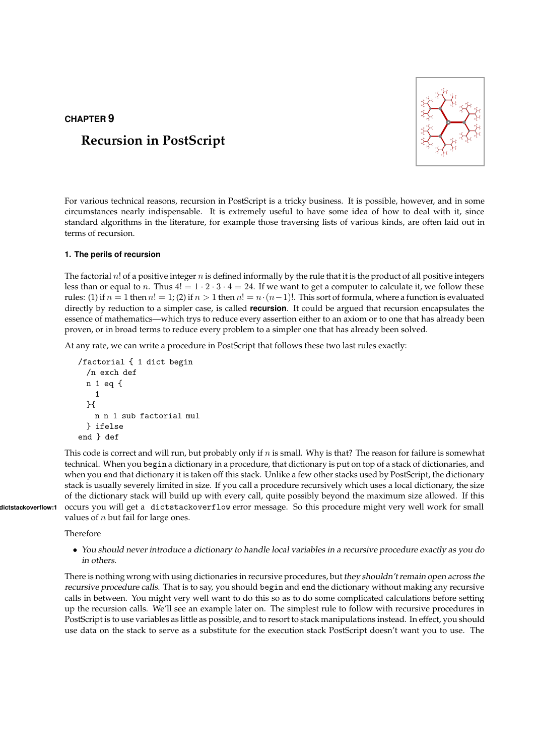# CHAPTER 9



# Recursion in PostScript

For various technical reasons, recursion in PostScript is a tricky business. It is possible, however, and in some circumstances nearly indispensable. It is extremely useful to have some idea of how to deal with it, since standard algorithms in the literature, for example those traversing lists of various kinds, are often laid out in terms of recursion.

### 1. The perils of recursion

The factorial  $n!$  of a positive integer  $n$  is defined informally by the rule that it is the product of all positive integers less than or equal to n. Thus  $4! = 1 \cdot 2 \cdot 3 \cdot 4 = 24$ . If we want to get a computer to calculate it, we follow these rules: (1) if  $n = 1$  then  $n! = 1$ ; (2) if  $n > 1$  then  $n! = n \cdot (n-1)!$ . This sort of formula, where a function is evaluated directly by reduction to a simpler case, is called recursion. It could be argued that recursion encapsulates the essence of mathematics—which trys to reduce every assertion either to an axiom or to one that has already been proven, or in broad terms to reduce every problem to a simpler one that has already been solved.

At any rate, we can write a procedure in PostScript that follows these two last rules exactly:

```
/factorial { 1 dict begin
 /n exch def
 n 1 eq {
   1
 }{
   n n 1 sub factorial mul
 } ifelse
end } def
```
This code is correct and will run, but probably only if  $n$  is small. Why is that? The reason for failure is somewhat technical. When you begin a dictionary in a procedure, that dictionary is put on top of a stack of dictionaries, and when you end that dictionary it is taken off this stack. Unlike a few other stacks used by PostScript, the dictionary stack is usually severely limited in size. If you call a procedure recursively which uses a local dictionary, the size of the dictionary stack will build up with every call, quite possibly beyond the maximum size allowed. If this dictstackoverflow:1 occurs you will get a dictstackoverflow error message. So this procedure might very well work for small values of  $n$  but fail for large ones.

Therefore

• You should never introduce <sup>a</sup> dictionary to handle local variables in <sup>a</sup> recursive procedure exactly as you do in others.

There is nothing wrong with using dictionaries in recursive procedures, but they shouldn't remain open across the recursive procedure calls. That is to say, you should begin and end the dictionary without making any recursive calls in between. You might very well want to do this so as to do some complicated calculations before setting up the recursion calls. We'll see an example later on. The simplest rule to follow with recursive procedures in PostScript is to use variables as little as possible, and to resort to stack manipulations instead. In effect, you should use data on the stack to serve as a substitute for the execution stack PostScript doesn't want you to use. The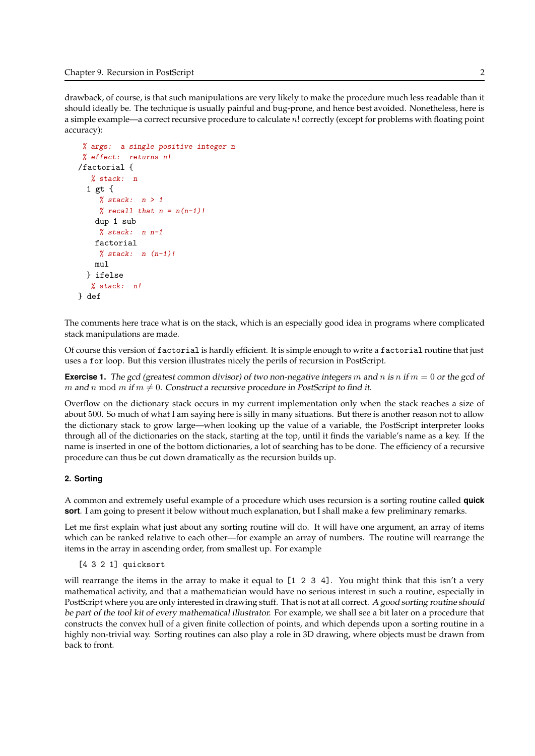drawback, of course, is that such manipulations are very likely to make the procedure much less readable than it should ideally be. The technique is usually painful and bug-prone, and hence best avoided. Nonetheless, here is a simple example—a correct recursive procedure to calculate  $n!$  correctly (except for problems with floating point accuracy):

```
% args: a single positive integer n
% effect: returns n!
/factorial {
  % stack: n
 1 gt {
    % stack: n > 1% recall that n = n(n-1)!dup 1 sub
    % stack: n n-1
   factorial
    % stack: n(n-1)!mul
 } ifelse
  % stack: n!
} def
```
The comments here trace what is on the stack, which is an especially good idea in programs where complicated stack manipulations are made.

Of course this version of factorial is hardly efficient. It is simple enough to write a factorial routine that just uses a for loop. But this version illustrates nicely the perils of recursion in PostScript.

**Exercise 1.** The gcd (greatest common divisor) of two non-negative integers m and n is n if  $m = 0$  or the gcd of m and n mod m if  $m \neq 0$ . Construct a recursive procedure in PostScript to find it.

Overflow on the dictionary stack occurs in my current implementation only when the stack reaches a size of about 500. So much of what I am saying here is silly in many situations. But there is another reason not to allow the dictionary stack to grow large—when looking up the value of a variable, the PostScript interpreter looks through all of the dictionaries on the stack, starting at the top, until it finds the variable's name as a key. If the name is inserted in one of the bottom dictionaries, a lot of searching has to be done. The efficiency of a recursive procedure can thus be cut down dramatically as the recursion builds up.

#### 2. Sorting

A common and extremely useful example of a procedure which uses recursion is a sorting routine called **quick** sort. I am going to present it below without much explanation, but I shall make a few preliminary remarks.

Let me first explain what just about any sorting routine will do. It will have one argument, an array of items which can be ranked relative to each other—for example an array of numbers. The routine will rearrange the items in the array in ascending order, from smallest up. For example

```
[4 3 2 1] quicksort
```
will rearrange the items in the array to make it equal to [1 2 3 4]. You might think that this isn't a very mathematical activity, and that a mathematician would have no serious interest in such a routine, especially in PostScript where you are only interested in drawing stuff. That is not at all correct. A good sorting routine should be part of the tool kit of every mathematical illustrator. For example, we shall see a bit later on a procedure that constructs the convex hull of a given finite collection of points, and which depends upon a sorting routine in a highly non-trivial way. Sorting routines can also play a role in 3D drawing, where objects must be drawn from back to front.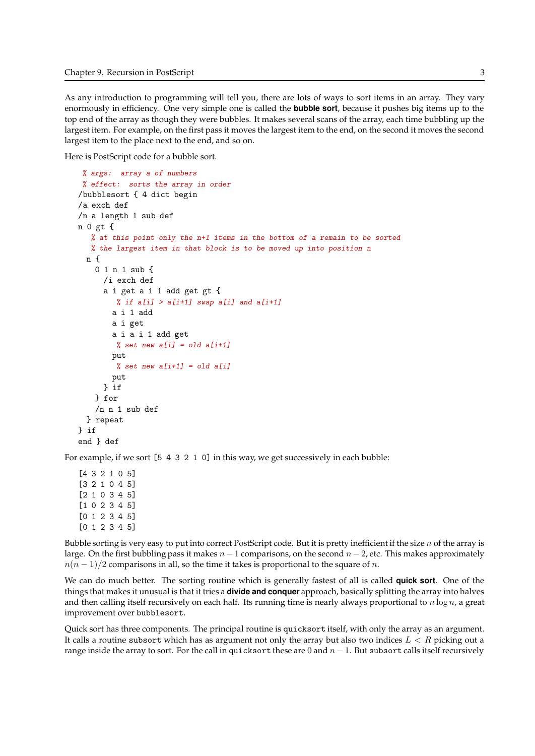As any introduction to programming will tell you, there are lots of ways to sort items in an array. They vary enormously in efficiency. One very simple one is called the **bubble sort**, because it pushes big items up to the top end of the array as though they were bubbles. It makes several scans of the array, each time bubbling up the largest item. For example, on the first pass it moves the largest item to the end, on the second it moves the second largest item to the place next to the end, and so on.

Here is PostScript code for a bubble sort.

```
% args: array a of numbers
 % effect: sorts the array in order
/bubblesort { 4 dict begin
/a exch def
/n a length 1 sub def
n 0 gt {
   % at this point only the n+1 items in the bottom of a remain to be sorted
   % the largest item in that block is to be moved up into position n
  n {
    0 1 n 1 sub {
      /i exch def
      a i get a i 1 add get gt {
        % if a[i] > a[i+1] swap a[i] and a[i+1]a i 1 add
       a i get
       a i a i 1 add get
        % set new a[i] = old a[i+1]put
        % set new a[i+1] = old a[i]put
      } if
    } for
    /n n 1 sub def
  } repeat
} if
end } def
```
For example, if we sort [5 4 3 2 1 0] in this way, we get successively in each bubble:

Bubble sorting is very easy to put into correct PostScript code. But it is pretty inefficient if the size  $n$  of the array is large. On the first bubbling pass it makes  $n - 1$  comparisons, on the second  $n - 2$ , etc. This makes approximately  $n(n-1)/2$  comparisons in all, so the time it takes is proportional to the square of n.

We can do much better. The sorting routine which is generally fastest of all is called quick sort. One of the things that makes it unusual is that it tries a **divide and conquer** approach, basically splitting the array into halves and then calling itself recursively on each half. Its running time is nearly always proportional to  $n \log n$ , a great improvement over bubblesort.

Quick sort has three components. The principal routine is quicksort itself, with only the array as an argument. It calls a routine subsort which has as argument not only the array but also two indices  $L < R$  picking out a range inside the array to sort. For the call in quicksort these are 0 and  $n-1$ . But subsort calls itself recursively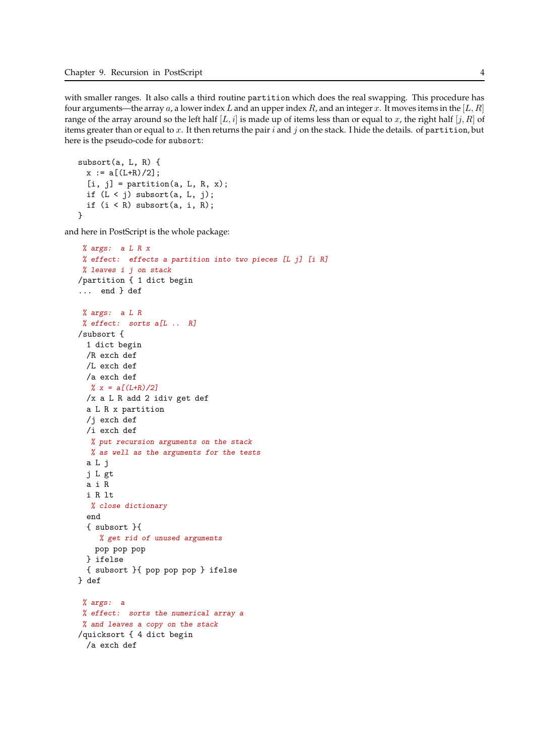with smaller ranges. It also calls a third routine partition which does the real swapping. This procedure has four arguments—the array a, a lower index L and an upper index R, and an integer x. It moves items in the [L, R] range of the array around so the left half  $[L, i]$  is made up of items less than or equal to x, the right half  $[j, R]$  of items greater than or equal to x. It then returns the pair  $i$  and  $j$  on the stack. I hide the details. of partition, but here is the pseudo-code for subsort:

```
subsort(a, L, R) {
 x := a[(L+R)/2];[i, j] = partition(a, L, R, x);
 if (L < j) subsort(a, L, j);
 if (i < R) subsort(a, i, R);
}
```
and here in PostScript is the whole package:

```
% args: a L R x
% effect: effects a partition into two pieces [L j] [i R]
% leaves i j on stack
/partition { 1 dict begin
... end } def
% args: a L R
% effect: sorts a[L .. R]
/subsort {
 1 dict begin
 /R exch def
 /L exch def
 /a exch def
  % x = a[(L+R)/2]/x a L R add 2 idiv get def
 a L R x partition
 /j exch def
 /i exch def
  % put recursion arguments on the stack
  % as well as the arguments for the tests
 a L j
 j L gt
 a i R
 i R lt
  % close dictionary
 end
  { subsort }{
    % get rid of unused arguments
   pop pop pop
  } ifelse
 { subsort }{ pop pop pop } ifelse
} def
% args: a
% effect: sorts the numerical array a
% and leaves a copy on the stack
/quicksort { 4 dict begin
  /a exch def
```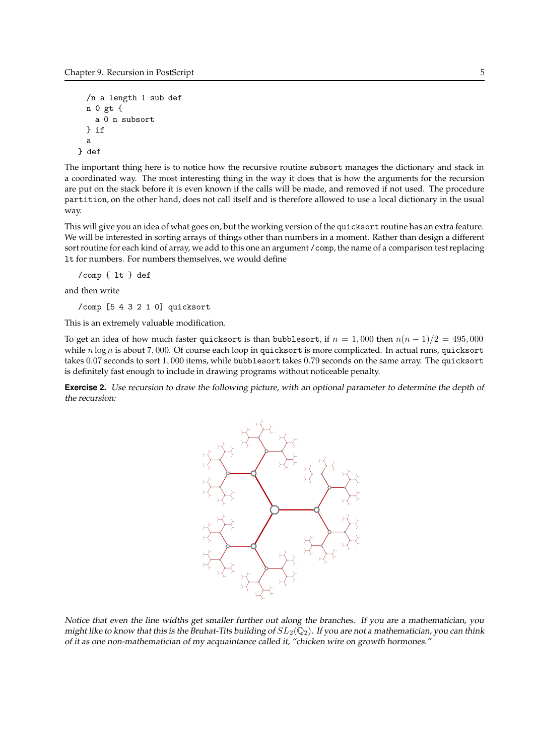```
/n a length 1 sub def
 n 0 gt {
   a 0 n subsort
 } if
 a
} def
```
The important thing here is to notice how the recursive routine subsort manages the dictionary and stack in a coordinated way. The most interesting thing in the way it does that is how the arguments for the recursion are put on the stack before it is even known if the calls will be made, and removed if not used. The procedure partition, on the other hand, does not call itself and is therefore allowed to use a local dictionary in the usual way.

This will give you an idea of what goes on, but the working version of the quicksort routine has an extra feature. We will be interested in sorting arrays of things other than numbers in a moment. Rather than design a different sort routine for each kind of array, we add to this one an argument /comp, the name of a comparison test replacing lt for numbers. For numbers themselves, we would define

/comp { lt } def

and then write

/comp [5 4 3 2 1 0] quicksort

This is an extremely valuable modification.

To get an idea of how much faster quicksort is than bubblesort, if  $n = 1,000$  then  $n(n - 1)/2 = 495,000$ while  $n \log n$  is about 7,000. Of course each loop in quicksort is more complicated. In actual runs, quicksort takes 0.07 seconds to sort 1, 000 items, while bubblesort takes 0.79 seconds on the same array. The quicksort is definitely fast enough to include in drawing programs without noticeable penalty.

**Exercise 2.** Use recursion to draw the following picture, with an optional parameter to determine the depth of the recursion:



Notice that even the line widths get smaller further out along the branches. If you are <sup>a</sup> mathematician, you might like to know that this is the Bruhat-Tits building of  $SL_2(\mathbb{Q}_2)$ . If you are not a mathematician, you can think of it as one non-mathematician of my acquaintance called it, "chicken wire on growth hormones."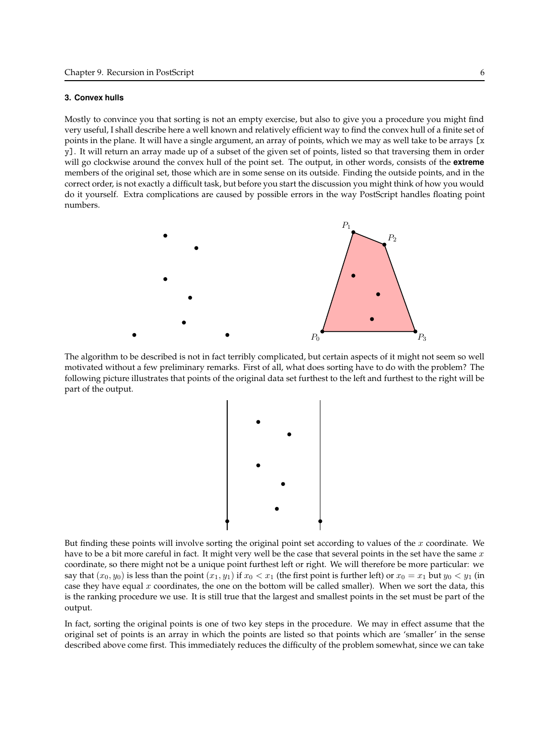#### 3. Convex hulls

Mostly to convince you that sorting is not an empty exercise, but also to give you a procedure you might find very useful, I shall describe here a well known and relatively efficient way to find the convex hull of a finite set of points in the plane. It will have a single argument, an array of points, which we may as well take to be arrays [x y]. It will return an array made up of a subset of the given set of points, listed so that traversing them in order will go clockwise around the convex hull of the point set. The output, in other words, consists of the extreme members of the original set, those which are in some sense on its outside. Finding the outside points, and in the correct order, is not exactly a difficult task, but before you start the discussion you might think of how you would do it yourself. Extra complications are caused by possible errors in the way PostScript handles floating point numbers.



The algorithm to be described is not in fact terribly complicated, but certain aspects of it might not seem so well motivated without a few preliminary remarks. First of all, what does sorting have to do with the problem? The following picture illustrates that points of the original data set furthest to the left and furthest to the right will be part of the output.



But finding these points will involve sorting the original point set according to values of the  $x$  coordinate. We have to be a bit more careful in fact. It might very well be the case that several points in the set have the same  $x$ coordinate, so there might not be a unique point furthest left or right. We will therefore be more particular: we say that  $(x_0, y_0)$  is less than the point  $(x_1, y_1)$  if  $x_0 < x_1$  (the first point is further left) or  $x_0 = x_1$  but  $y_0 < y_1$  (in case they have equal  $x$  coordinates, the one on the bottom will be called smaller). When we sort the data, this is the ranking procedure we use. It is still true that the largest and smallest points in the set must be part of the output.

In fact, sorting the original points is one of two key steps in the procedure. We may in effect assume that the original set of points is an array in which the points are listed so that points which are 'smaller' in the sense described above come first. This immediately reduces the difficulty of the problem somewhat, since we can take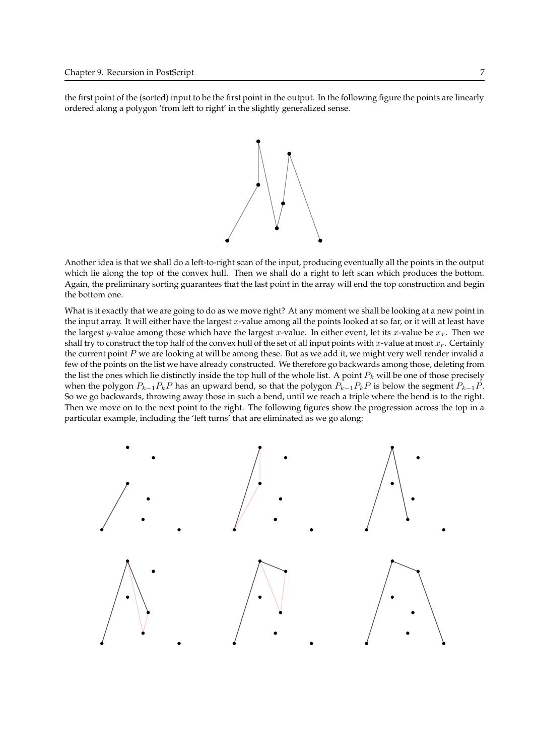the first point of the (sorted) input to be the first point in the output. In the following figure the points are linearly ordered along a polygon 'from left to right' in the slightly generalized sense.



Another idea is that we shall do a left-to-right scan of the input, producing eventually all the points in the output which lie along the top of the convex hull. Then we shall do a right to left scan which produces the bottom. Again, the preliminary sorting guarantees that the last point in the array will end the top construction and begin the bottom one.

What is it exactly that we are going to do as we move right? At any moment we shall be looking at a new point in the input array. It will either have the largest  $x$ -value among all the points looked at so far, or it will at least have the largest y-value among those which have the largest x-value. In either event, let its x-value be  $x_r$ . Then we shall try to construct the top half of the convex hull of the set of all input points with x-value at most  $x_r$ . Certainly the current point  $P$  we are looking at will be among these. But as we add it, we might very well render invalid a few of the points on the list we have already constructed. We therefore go backwards among those, deleting from the list the ones which lie distinctly inside the top hull of the whole list. A point  $P_k$  will be one of those precisely when the polygon  $P_{k-1}P_kP$  has an upward bend, so that the polygon  $P_{k-1}P_kP$  is below the segment  $P_{k-1}P$ . So we go backwards, throwing away those in such a bend, until we reach a triple where the bend is to the right. Then we move on to the next point to the right. The following figures show the progression across the top in a particular example, including the 'left turns' that are eliminated as we go along:

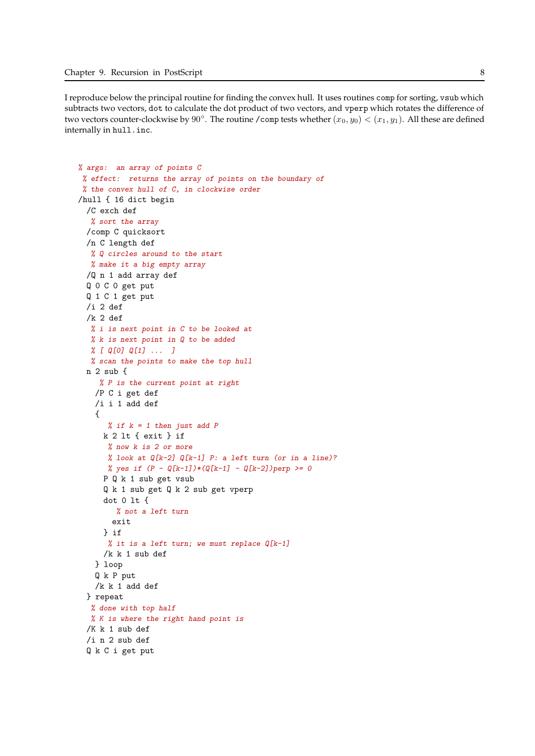I reproduce below the principal routine for finding the convex hull. It uses routines comp for sorting, vsub which subtracts two vectors, dot to calculate the dot product of two vectors, and vperp which rotates the difference of two vectors counter-clockwise by 90°. The routine /comp tests whether  $(x_0, y_0) < (x_1, y_1)$ . All these are defined internally in hull.inc.

```
% args: an array of points C
% effect: returns the array of points on the boundary of
% the convex hull of C, in clockwise order
/hull { 16 dict begin
 /C exch def
  % sort the array
 /comp C quicksort
 /n C length def
  % Q circles around to the start
  % make it a big empty array
 /Q n 1 add array def
 Q 0 C 0 get put
 Q 1 C 1 get put
 /i 2 def
  /k 2 def
  % i is next point in C to be looked at
  % k is next point in Q to be added
  % [ Q[0] Q[1] \ldots ]
  % scan the points to make the top hull
 n 2 sub {
    % P is the current point at right
   /P C i get def
   /i i 1 add def
   {
      % if k = 1 then just add P
     k 2 lt { exit } if
      % now k is 2 or more
      % look at Q[k-2] Q[k-1] P: a left turn (or in a line)?
      % yes if (P - Q[k-1]) * (Q[k-1] - Q[k-2]) perp >= 0
     P Q k 1 sub get vsub
     Q k 1 sub get Q k 2 sub get vperp
     dot 0 lt {
        % not a left turn
       exit
     } if
      % it is a left turn; we must replace Q[k-1]/k k 1 sub def
   } loop
   Q k P put
   /k k 1 add def
 } repeat
  % done with top half
  % K is where the right hand point is
  /K k 1 sub def
 /i n 2 sub def
 Q k C i get put
```